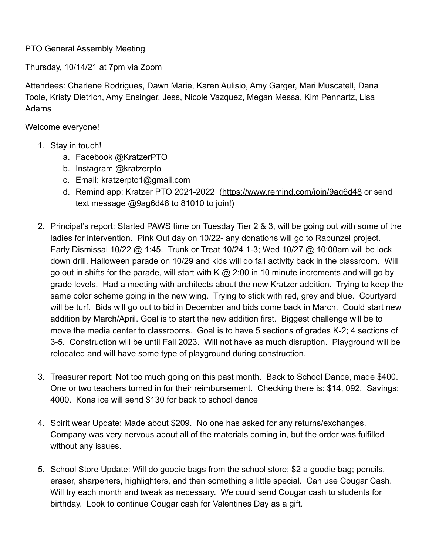## PTO General Assembly Meeting

Thursday, 10/14/21 at 7pm via Zoom

Attendees: Charlene Rodrigues, Dawn Marie, Karen Aulisio, Amy Garger, Mari Muscatell, Dana Toole, Kristy Dietrich, Amy Ensinger, Jess, Nicole Vazquez, Megan Messa, Kim Pennartz, Lisa Adams

Welcome everyone!

- 1. Stay in touch!
	- a. Facebook @KratzerPTO
	- b. Instagram @kratzerpto
	- c. Email: [kratzerpto1@gmail.com](mailto:kratzerpto1@gmail.com)
	- d. Remind app: Kratzer PTO 2021-2022 [\(https://www.remind.com/join/9ag6d48](https://www.remind.com/join/9ag6d48) or send text message @9ag6d48 to 81010 to join!)
- 2. Principal's report: Started PAWS time on Tuesday Tier 2 & 3, will be going out with some of the ladies for intervention. Pink Out day on 10/22- any donations will go to Rapunzel project. Early Dismissal 10/22 @ 1:45. Trunk or Treat 10/24 1-3; Wed 10/27 @ 10:00am will be lock down drill. Halloween parade on 10/29 and kids will do fall activity back in the classroom. Will go out in shifts for the parade, will start with K  $\omega$  2:00 in 10 minute increments and will go by grade levels. Had a meeting with architects about the new Kratzer addition. Trying to keep the same color scheme going in the new wing. Trying to stick with red, grey and blue. Courtyard will be turf. Bids will go out to bid in December and bids come back in March. Could start new addition by March/April. Goal is to start the new addition first. Biggest challenge will be to move the media center to classrooms. Goal is to have 5 sections of grades K-2; 4 sections of 3-5. Construction will be until Fall 2023. Will not have as much disruption. Playground will be relocated and will have some type of playground during construction.
- 3. Treasurer report: Not too much going on this past month. Back to School Dance, made \$400. One or two teachers turned in for their reimbursement. Checking there is: \$14, 092. Savings: 4000. Kona ice will send \$130 for back to school dance
- 4. Spirit wear Update: Made about \$209. No one has asked for any returns/exchanges. Company was very nervous about all of the materials coming in, but the order was fulfilled without any issues.
- 5. School Store Update: Will do goodie bags from the school store; \$2 a goodie bag; pencils, eraser, sharpeners, highlighters, and then something a little special. Can use Cougar Cash. Will try each month and tweak as necessary. We could send Cougar cash to students for birthday. Look to continue Cougar cash for Valentines Day as a gift.